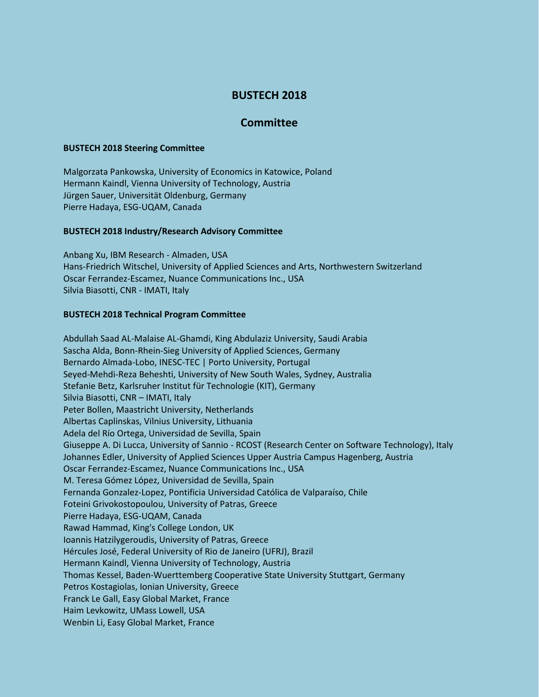# **BUSTECH 2018**

## **Committee**

#### **BUSTECH 2018 Steering Committee**

Malgorzata Pankowska, University of Economics in Katowice, Poland Hermann Kaindl, Vienna University of Technology, Austria Jürgen Sauer, Universität Oldenburg, Germany Pierre Hadaya, ESG-UQAM, Canada

### **BUSTECH 2018 Industry/Research Advisory Committee**

Anbang Xu, IBM Research - Almaden, USA Hans-Friedrich Witschel, University of Applied Sciences and Arts, Northwestern Switzerland Oscar Ferrandez-Escamez, Nuance Communications Inc., USA Silvia Biasotti, CNR - IMATI, Italy

#### **BUSTECH 2018 Technical Program Committee**

Abdullah Saad AL-Malaise AL-Ghamdi, King Abdulaziz University, Saudi Arabia Sascha Alda, Bonn-Rhein-Sieg University of Applied Sciences, Germany Bernardo Almada-Lobo, INESC-TEC | Porto University, Portugal Seyed-Mehdi-Reza Beheshti, University of New South Wales, Sydney, Australia Stefanie Betz, Karlsruher Institut für Technologie (KIT), Germany Silvia Biasotti, CNR – IMATI, Italy Peter Bollen, Maastricht University, Netherlands Albertas Caplinskas, Vilnius University, Lithuania Adela del Río Ortega, Universidad de Sevilla, Spain Giuseppe A. Di Lucca, University of Sannio - RCOST (Research Center on Software Technology), Italy Johannes Edler, University of Applied Sciences Upper Austria Campus Hagenberg, Austria Oscar Ferrandez-Escamez, Nuance Communications Inc., USA M. Teresa Gómez López, Universidad de Sevilla, Spain Fernanda Gonzalez-Lopez, Pontificia Universidad Católica de Valparaíso, Chile Foteini Grivokostopoulou, University of Patras, Greece Pierre Hadaya, ESG-UQAM, Canada Rawad Hammad, King's College London, UK Ioannis Hatzilygeroudis, University of Patras, Greece Hércules José, Federal University of Rio de Janeiro (UFRJ), Brazil Hermann Kaindl, Vienna University of Technology, Austria Thomas Kessel, Baden-Wuerttemberg Cooperative State University Stuttgart, Germany Petros Kostagiolas, Ionian University, Greece Franck Le Gall, Easy Global Market, France Haim Levkowitz, UMass Lowell, USA Wenbin Li, Easy Global Market, France